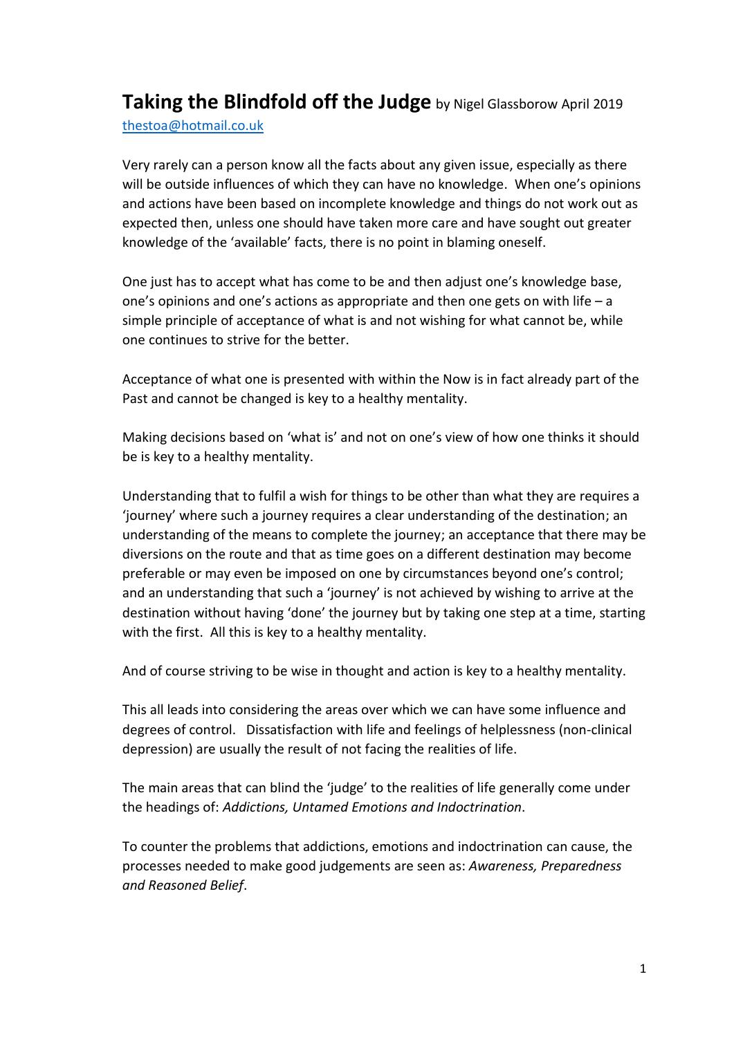**Taking the Blindfold off the Judge** by Nigel Glassborow April <sup>2019</sup> [thestoa@hotmail.co.uk](mailto:thestoa@hotmail.co.uk) 

Very rarely can a person know all the facts about any given issue, especially as there will be outside influences of which they can have no knowledge. When one's opinions and actions have been based on incomplete knowledge and things do not work out as expected then, unless one should have taken more care and have sought out greater knowledge of the 'available' facts, there is no point in blaming oneself.

One just has to accept what has come to be and then adjust one's knowledge base, one's opinions and one's actions as appropriate and then one gets on with life  $-$  a simple principle of acceptance of what is and not wishing for what cannot be, while one continues to strive for the better.

Acceptance of what one is presented with within the Now is in fact already part of the Past and cannot be changed is key to a healthy mentality.

Making decisions based on 'what is' and not on one's view of how one thinks it should be is key to a healthy mentality.

Understanding that to fulfil a wish for things to be other than what they are requires a 'journey' where such a journey requires a clear understanding of the destination; an understanding of the means to complete the journey; an acceptance that there may be diversions on the route and that as time goes on a different destination may become preferable or may even be imposed on one by circumstances beyond one's control; and an understanding that such a 'journey' is not achieved by wishing to arrive at the destination without having 'done' the journey but by taking one step at a time, starting with the first. All this is key to a healthy mentality.

And of course striving to be wise in thought and action is key to a healthy mentality.

This all leads into considering the areas over which we can have some influence and degrees of control. Dissatisfaction with life and feelings of helplessness (non-clinical depression) are usually the result of not facing the realities of life.

The main areas that can blind the 'judge' to the realities of life generally come under the headings of: *Addictions, Untamed Emotions and Indoctrination*.

To counter the problems that addictions, emotions and indoctrination can cause, the processes needed to make good judgements are seen as: *Awareness, Preparedness and Reasoned Belief*.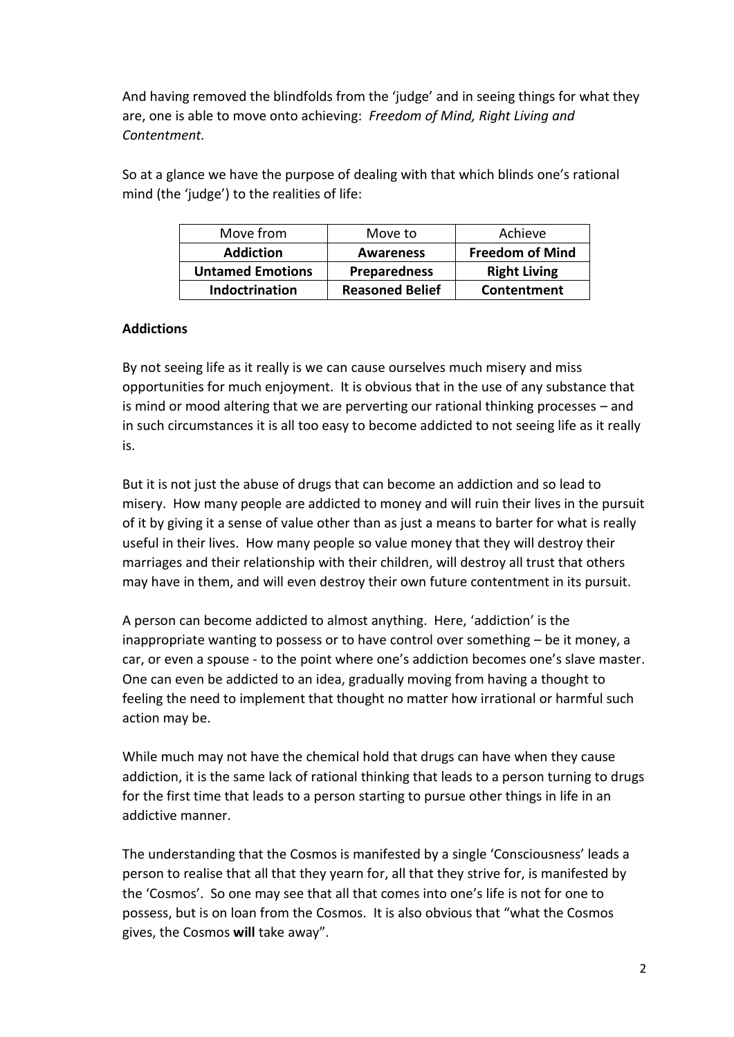And having removed the blindfolds from the 'judge' and in seeing things for what they are, one is able to move onto achieving: *Freedom of Mind, Right Living and Contentment.*

So at a glance we have the purpose of dealing with that which blinds one's rational mind (the 'judge') to the realities of life:

| Move from               | Move to                | Achieve                |
|-------------------------|------------------------|------------------------|
| <b>Addiction</b>        | <b>Awareness</b>       | <b>Freedom of Mind</b> |
| <b>Untamed Emotions</b> | <b>Preparedness</b>    | <b>Right Living</b>    |
| Indoctrination          | <b>Reasoned Belief</b> | Contentment            |

# **Addictions**

By not seeing life as it really is we can cause ourselves much misery and miss opportunities for much enjoyment. It is obvious that in the use of any substance that is mind or mood altering that we are perverting our rational thinking processes – and in such circumstances it is all too easy to become addicted to not seeing life as it really is.

But it is not just the abuse of drugs that can become an addiction and so lead to misery. How many people are addicted to money and will ruin their lives in the pursuit of it by giving it a sense of value other than as just a means to barter for what is really useful in their lives. How many people so value money that they will destroy their marriages and their relationship with their children, will destroy all trust that others may have in them, and will even destroy their own future contentment in its pursuit.

A person can become addicted to almost anything. Here, 'addiction' is the inappropriate wanting to possess or to have control over something – be it money, a car, or even a spouse - to the point where one's addiction becomes one's slave master. One can even be addicted to an idea, gradually moving from having a thought to feeling the need to implement that thought no matter how irrational or harmful such action may be.

While much may not have the chemical hold that drugs can have when they cause addiction, it is the same lack of rational thinking that leads to a person turning to drugs for the first time that leads to a person starting to pursue other things in life in an addictive manner.

The understanding that the Cosmos is manifested by a single 'Consciousness' leads a person to realise that all that they yearn for, all that they strive for, is manifested by the 'Cosmos'. So one may see that all that comes into one's life is not for one to possess, but is on loan from the Cosmos. It is also obvious that "what the Cosmos gives, the Cosmos **will** take away".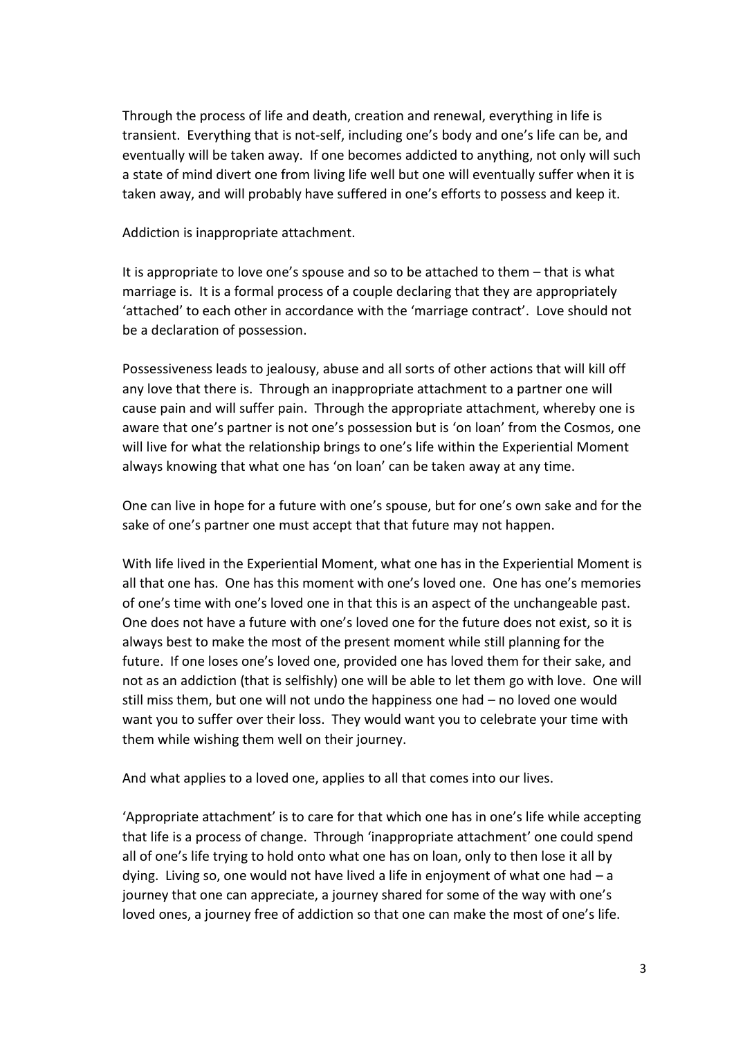Through the process of life and death, creation and renewal, everything in life is transient. Everything that is not-self, including one's body and one's life can be, and eventually will be taken away. If one becomes addicted to anything, not only will such a state of mind divert one from living life well but one will eventually suffer when it is taken away, and will probably have suffered in one's efforts to possess and keep it.

Addiction is inappropriate attachment.

It is appropriate to love one's spouse and so to be attached to them – that is what marriage is. It is a formal process of a couple declaring that they are appropriately 'attached' to each other in accordance with the 'marriage contract'. Love should not be a declaration of possession.

Possessiveness leads to jealousy, abuse and all sorts of other actions that will kill off any love that there is. Through an inappropriate attachment to a partner one will cause pain and will suffer pain. Through the appropriate attachment, whereby one is aware that one's partner is not one's possession but is 'on loan' from the Cosmos, one will live for what the relationship brings to one's life within the Experiential Moment always knowing that what one has 'on loan' can be taken away at any time.

One can live in hope for a future with one's spouse, but for one's own sake and for the sake of one's partner one must accept that that future may not happen.

With life lived in the Experiential Moment, what one has in the Experiential Moment is all that one has. One has this moment with one's loved one. One has one's memories of one's time with one's loved one in that this is an aspect of the unchangeable past. One does not have a future with one's loved one for the future does not exist, so it is always best to make the most of the present moment while still planning for the future. If one loses one's loved one, provided one has loved them for their sake, and not as an addiction (that is selfishly) one will be able to let them go with love. One will still miss them, but one will not undo the happiness one had – no loved one would want you to suffer over their loss. They would want you to celebrate your time with them while wishing them well on their journey.

And what applies to a loved one, applies to all that comes into our lives.

'Appropriate attachment' is to care for that which one has in one's life while accepting that life is a process of change. Through 'inappropriate attachment' one could spend all of one's life trying to hold onto what one has on loan, only to then lose it all by dying. Living so, one would not have lived a life in enjoyment of what one had – a journey that one can appreciate, a journey shared for some of the way with one's loved ones, a journey free of addiction so that one can make the most of one's life.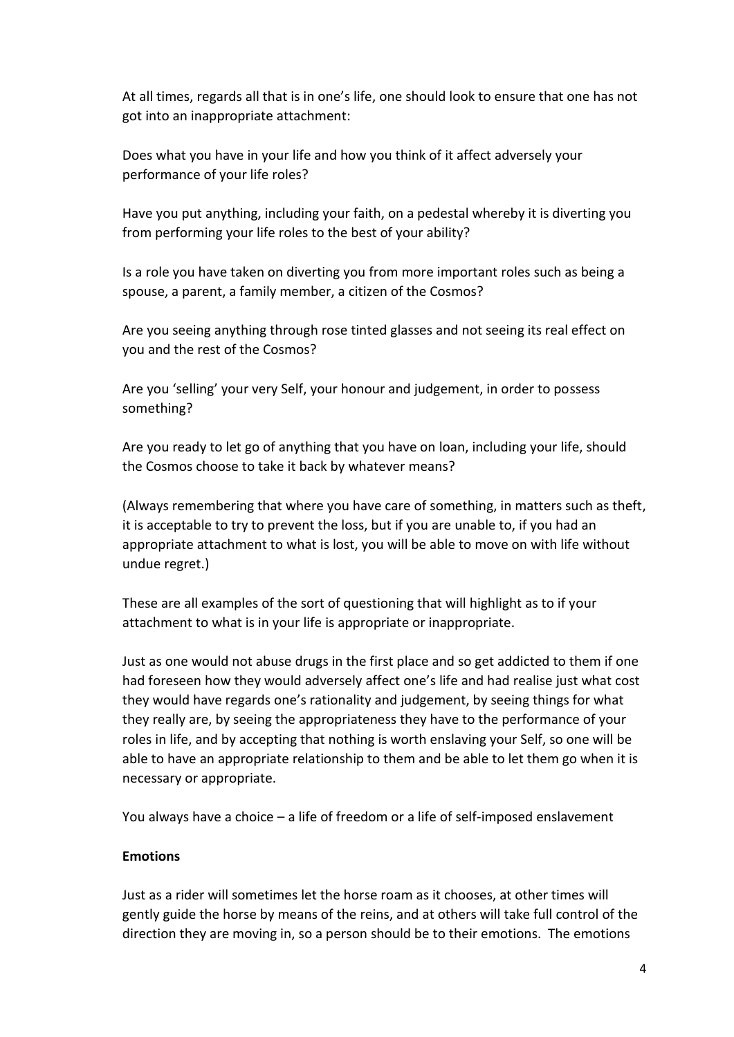At all times, regards all that is in one's life, one should look to ensure that one has not got into an inappropriate attachment:

Does what you have in your life and how you think of it affect adversely your performance of your life roles?

Have you put anything, including your faith, on a pedestal whereby it is diverting you from performing your life roles to the best of your ability?

Is a role you have taken on diverting you from more important roles such as being a spouse, a parent, a family member, a citizen of the Cosmos?

Are you seeing anything through rose tinted glasses and not seeing its real effect on you and the rest of the Cosmos?

Are you 'selling' your very Self, your honour and judgement, in order to possess something?

Are you ready to let go of anything that you have on loan, including your life, should the Cosmos choose to take it back by whatever means?

(Always remembering that where you have care of something, in matters such as theft, it is acceptable to try to prevent the loss, but if you are unable to, if you had an appropriate attachment to what is lost, you will be able to move on with life without undue regret.)

These are all examples of the sort of questioning that will highlight as to if your attachment to what is in your life is appropriate or inappropriate.

Just as one would not abuse drugs in the first place and so get addicted to them if one had foreseen how they would adversely affect one's life and had realise just what cost they would have regards one's rationality and judgement, by seeing things for what they really are, by seeing the appropriateness they have to the performance of your roles in life, and by accepting that nothing is worth enslaving your Self, so one will be able to have an appropriate relationship to them and be able to let them go when it is necessary or appropriate.

You always have a choice – a life of freedom or a life of self-imposed enslavement

# **Emotions**

Just as a rider will sometimes let the horse roam as it chooses, at other times will gently guide the horse by means of the reins, and at others will take full control of the direction they are moving in, so a person should be to their emotions. The emotions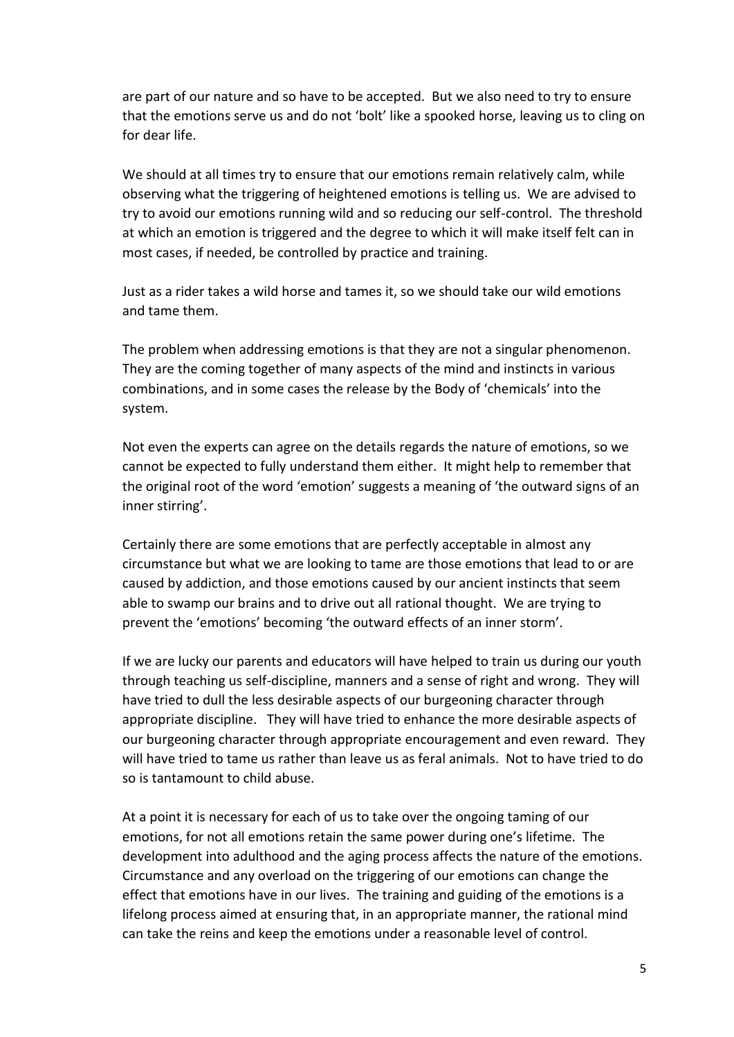are part of our nature and so have to be accepted. But we also need to try to ensure that the emotions serve us and do not 'bolt' like a spooked horse, leaving us to cling on for dear life.

We should at all times try to ensure that our emotions remain relatively calm, while observing what the triggering of heightened emotions is telling us. We are advised to try to avoid our emotions running wild and so reducing our self-control. The threshold at which an emotion is triggered and the degree to which it will make itself felt can in most cases, if needed, be controlled by practice and training.

Just as a rider takes a wild horse and tames it, so we should take our wild emotions and tame them.

The problem when addressing emotions is that they are not a singular phenomenon. They are the coming together of many aspects of the mind and instincts in various combinations, and in some cases the release by the Body of 'chemicals' into the system.

Not even the experts can agree on the details regards the nature of emotions, so we cannot be expected to fully understand them either. It might help to remember that the original root of the word 'emotion' suggests a meaning of 'the outward signs of an inner stirring'.

Certainly there are some emotions that are perfectly acceptable in almost any circumstance but what we are looking to tame are those emotions that lead to or are caused by addiction, and those emotions caused by our ancient instincts that seem able to swamp our brains and to drive out all rational thought. We are trying to prevent the 'emotions' becoming 'the outward effects of an inner storm'.

If we are lucky our parents and educators will have helped to train us during our youth through teaching us self-discipline, manners and a sense of right and wrong. They will have tried to dull the less desirable aspects of our burgeoning character through appropriate discipline. They will have tried to enhance the more desirable aspects of our burgeoning character through appropriate encouragement and even reward. They will have tried to tame us rather than leave us as feral animals. Not to have tried to do so is tantamount to child abuse.

At a point it is necessary for each of us to take over the ongoing taming of our emotions, for not all emotions retain the same power during one's lifetime. The development into adulthood and the aging process affects the nature of the emotions. Circumstance and any overload on the triggering of our emotions can change the effect that emotions have in our lives. The training and guiding of the emotions is a lifelong process aimed at ensuring that, in an appropriate manner, the rational mind can take the reins and keep the emotions under a reasonable level of control.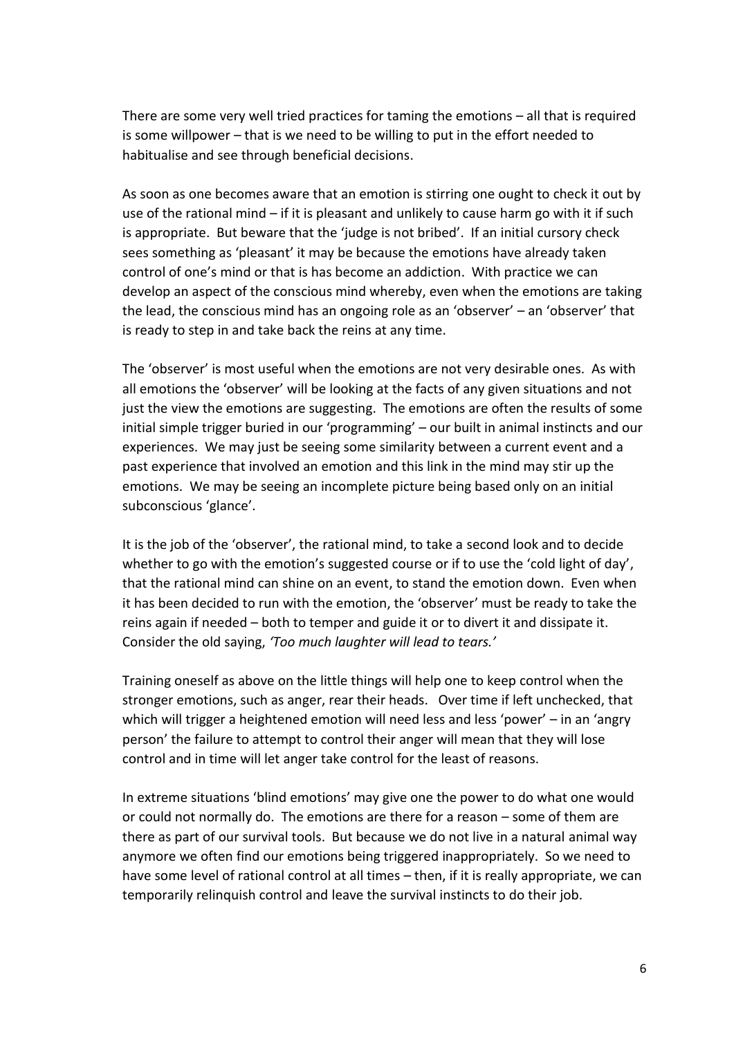There are some very well tried practices for taming the emotions – all that is required is some willpower – that is we need to be willing to put in the effort needed to habitualise and see through beneficial decisions.

As soon as one becomes aware that an emotion is stirring one ought to check it out by use of the rational mind – if it is pleasant and unlikely to cause harm go with it if such is appropriate. But beware that the 'judge is not bribed'. If an initial cursory check sees something as 'pleasant' it may be because the emotions have already taken control of one's mind or that is has become an addiction. With practice we can develop an aspect of the conscious mind whereby, even when the emotions are taking the lead, the conscious mind has an ongoing role as an 'observer' – an 'observer' that is ready to step in and take back the reins at any time.

The 'observer' is most useful when the emotions are not very desirable ones. As with all emotions the 'observer' will be looking at the facts of any given situations and not just the view the emotions are suggesting. The emotions are often the results of some initial simple trigger buried in our 'programming' – our built in animal instincts and our experiences. We may just be seeing some similarity between a current event and a past experience that involved an emotion and this link in the mind may stir up the emotions. We may be seeing an incomplete picture being based only on an initial subconscious 'glance'.

It is the job of the 'observer', the rational mind, to take a second look and to decide whether to go with the emotion's suggested course or if to use the 'cold light of day', that the rational mind can shine on an event, to stand the emotion down. Even when it has been decided to run with the emotion, the 'observer' must be ready to take the reins again if needed – both to temper and guide it or to divert it and dissipate it. Consider the old saying, *'Too much laughter will lead to tears.'*

Training oneself as above on the little things will help one to keep control when the stronger emotions, such as anger, rear their heads. Over time if left unchecked, that which will trigger a heightened emotion will need less and less 'power' – in an 'angry person' the failure to attempt to control their anger will mean that they will lose control and in time will let anger take control for the least of reasons.

In extreme situations 'blind emotions' may give one the power to do what one would or could not normally do. The emotions are there for a reason – some of them are there as part of our survival tools. But because we do not live in a natural animal way anymore we often find our emotions being triggered inappropriately. So we need to have some level of rational control at all times – then, if it is really appropriate, we can temporarily relinquish control and leave the survival instincts to do their job.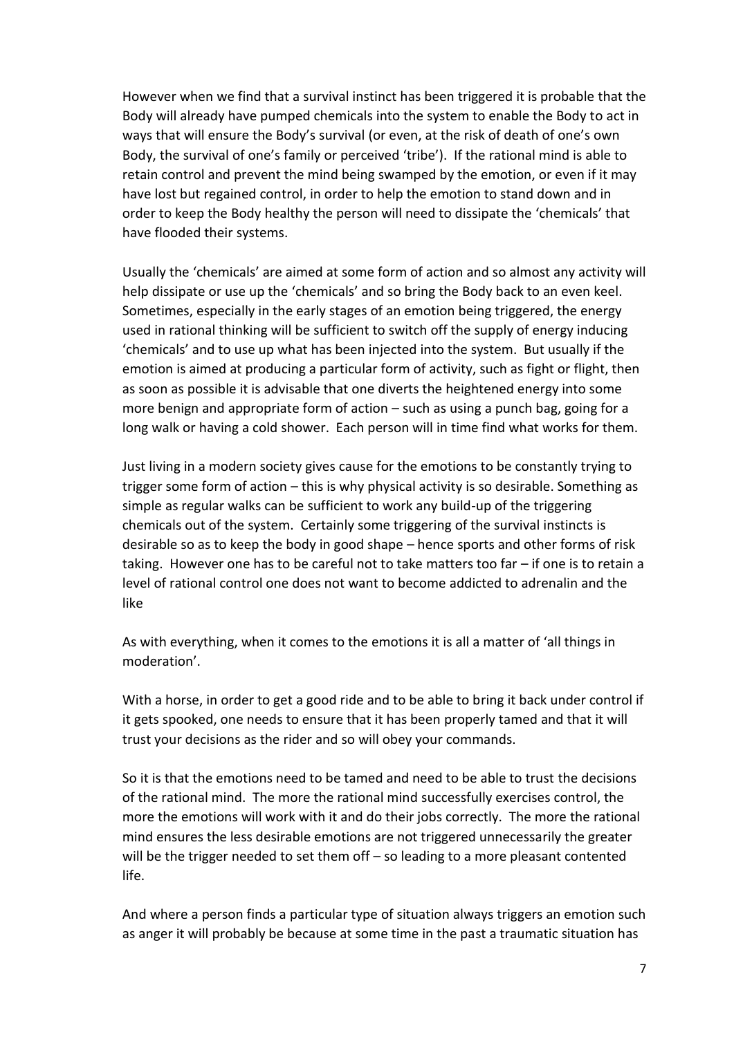However when we find that a survival instinct has been triggered it is probable that the Body will already have pumped chemicals into the system to enable the Body to act in ways that will ensure the Body's survival (or even, at the risk of death of one's own Body, the survival of one's family or perceived 'tribe'). If the rational mind is able to retain control and prevent the mind being swamped by the emotion, or even if it may have lost but regained control, in order to help the emotion to stand down and in order to keep the Body healthy the person will need to dissipate the 'chemicals' that have flooded their systems.

Usually the 'chemicals' are aimed at some form of action and so almost any activity will help dissipate or use up the 'chemicals' and so bring the Body back to an even keel. Sometimes, especially in the early stages of an emotion being triggered, the energy used in rational thinking will be sufficient to switch off the supply of energy inducing 'chemicals' and to use up what has been injected into the system. But usually if the emotion is aimed at producing a particular form of activity, such as fight or flight, then as soon as possible it is advisable that one diverts the heightened energy into some more benign and appropriate form of action – such as using a punch bag, going for a long walk or having a cold shower. Each person will in time find what works for them.

Just living in a modern society gives cause for the emotions to be constantly trying to trigger some form of action – this is why physical activity is so desirable. Something as simple as regular walks can be sufficient to work any build-up of the triggering chemicals out of the system. Certainly some triggering of the survival instincts is desirable so as to keep the body in good shape – hence sports and other forms of risk taking. However one has to be careful not to take matters too far – if one is to retain a level of rational control one does not want to become addicted to adrenalin and the like

As with everything, when it comes to the emotions it is all a matter of 'all things in moderation'.

With a horse, in order to get a good ride and to be able to bring it back under control if it gets spooked, one needs to ensure that it has been properly tamed and that it will trust your decisions as the rider and so will obey your commands.

So it is that the emotions need to be tamed and need to be able to trust the decisions of the rational mind. The more the rational mind successfully exercises control, the more the emotions will work with it and do their jobs correctly. The more the rational mind ensures the less desirable emotions are not triggered unnecessarily the greater will be the trigger needed to set them off – so leading to a more pleasant contented life.

And where a person finds a particular type of situation always triggers an emotion such as anger it will probably be because at some time in the past a traumatic situation has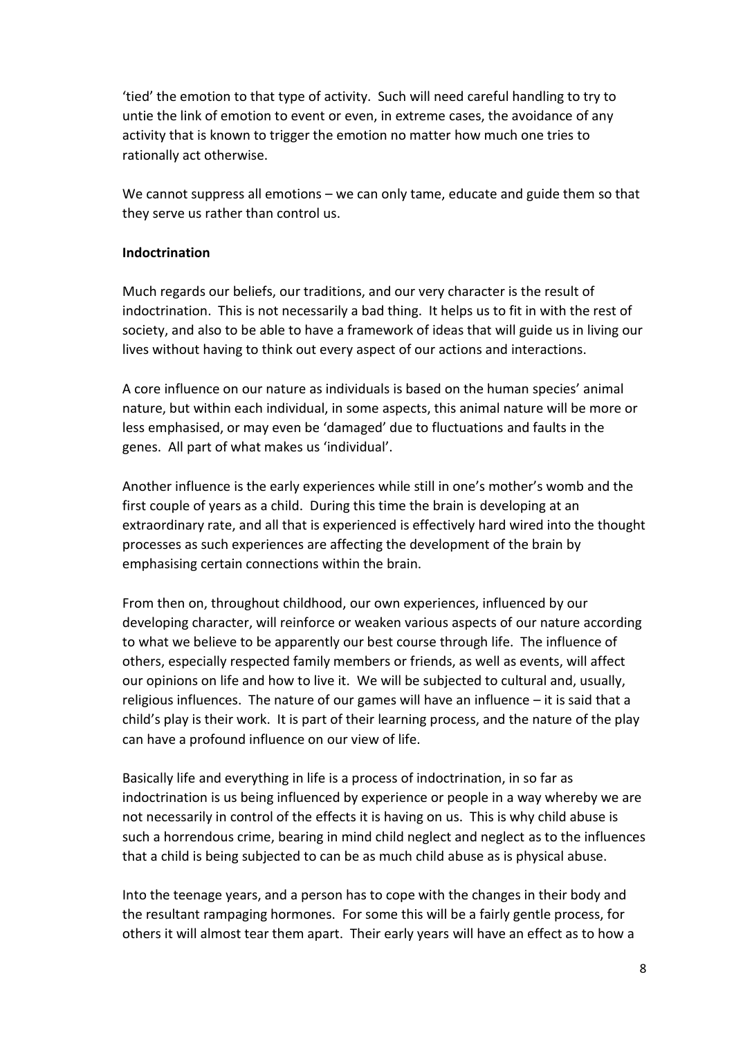'tied' the emotion to that type of activity. Such will need careful handling to try to untie the link of emotion to event or even, in extreme cases, the avoidance of any activity that is known to trigger the emotion no matter how much one tries to rationally act otherwise.

We cannot suppress all emotions – we can only tame, educate and guide them so that they serve us rather than control us.

### **Indoctrination**

Much regards our beliefs, our traditions, and our very character is the result of indoctrination. This is not necessarily a bad thing. It helps us to fit in with the rest of society, and also to be able to have a framework of ideas that will guide us in living our lives without having to think out every aspect of our actions and interactions.

A core influence on our nature as individuals is based on the human species' animal nature, but within each individual, in some aspects, this animal nature will be more or less emphasised, or may even be 'damaged' due to fluctuations and faults in the genes. All part of what makes us 'individual'.

Another influence is the early experiences while still in one's mother's womb and the first couple of years as a child. During this time the brain is developing at an extraordinary rate, and all that is experienced is effectively hard wired into the thought processes as such experiences are affecting the development of the brain by emphasising certain connections within the brain.

From then on, throughout childhood, our own experiences, influenced by our developing character, will reinforce or weaken various aspects of our nature according to what we believe to be apparently our best course through life. The influence of others, especially respected family members or friends, as well as events, will affect our opinions on life and how to live it. We will be subjected to cultural and, usually, religious influences. The nature of our games will have an influence – it is said that a child's play is their work. It is part of their learning process, and the nature of the play can have a profound influence on our view of life.

Basically life and everything in life is a process of indoctrination, in so far as indoctrination is us being influenced by experience or people in a way whereby we are not necessarily in control of the effects it is having on us. This is why child abuse is such a horrendous crime, bearing in mind child neglect and neglect as to the influences that a child is being subjected to can be as much child abuse as is physical abuse.

Into the teenage years, and a person has to cope with the changes in their body and the resultant rampaging hormones. For some this will be a fairly gentle process, for others it will almost tear them apart. Their early years will have an effect as to how a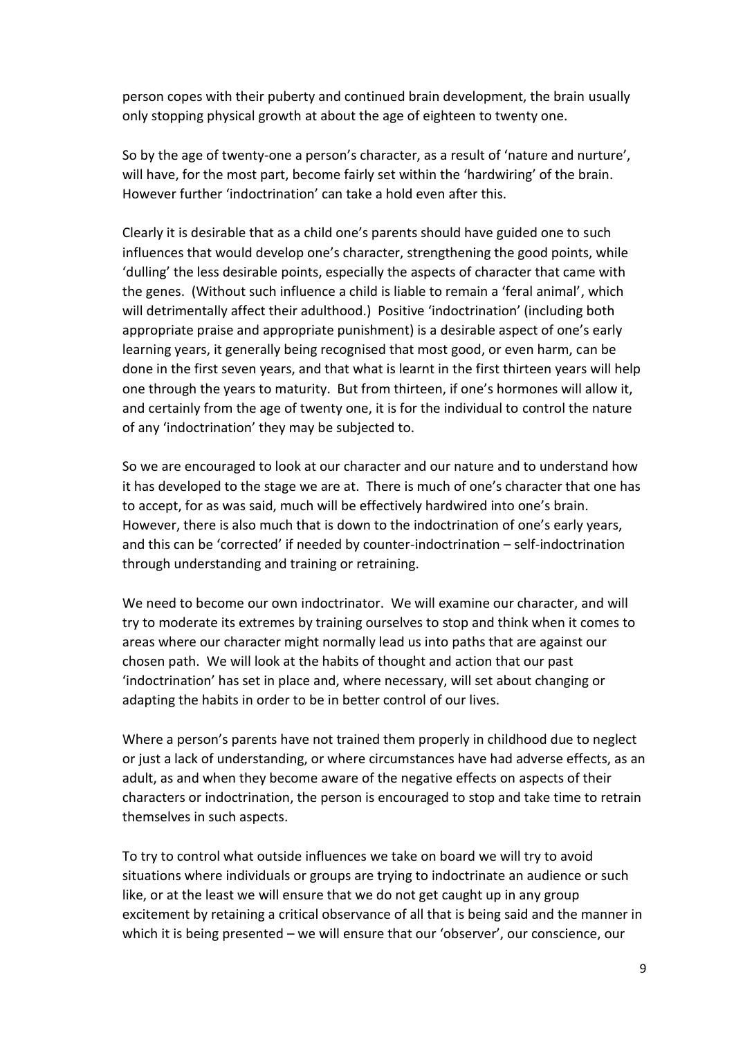person copes with their puberty and continued brain development, the brain usually only stopping physical growth at about the age of eighteen to twenty one.

So by the age of twenty-one a person's character, as a result of 'nature and nurture', will have, for the most part, become fairly set within the 'hardwiring' of the brain. However further 'indoctrination' can take a hold even after this.

Clearly it is desirable that as a child one's parents should have guided one to such influences that would develop one's character, strengthening the good points, while 'dulling' the less desirable points, especially the aspects of character that came with the genes. (Without such influence a child is liable to remain a 'feral animal', which will detrimentally affect their adulthood.) Positive 'indoctrination' (including both appropriate praise and appropriate punishment) is a desirable aspect of one's early learning years, it generally being recognised that most good, or even harm, can be done in the first seven years, and that what is learnt in the first thirteen years will help one through the years to maturity. But from thirteen, if one's hormones will allow it, and certainly from the age of twenty one, it is for the individual to control the nature of any 'indoctrination' they may be subjected to.

So we are encouraged to look at our character and our nature and to understand how it has developed to the stage we are at. There is much of one's character that one has to accept, for as was said, much will be effectively hardwired into one's brain. However, there is also much that is down to the indoctrination of one's early years, and this can be 'corrected' if needed by counter-indoctrination – self-indoctrination through understanding and training or retraining.

We need to become our own indoctrinator. We will examine our character, and will try to moderate its extremes by training ourselves to stop and think when it comes to areas where our character might normally lead us into paths that are against our chosen path. We will look at the habits of thought and action that our past 'indoctrination' has set in place and, where necessary, will set about changing or adapting the habits in order to be in better control of our lives.

Where a person's parents have not trained them properly in childhood due to neglect or just a lack of understanding, or where circumstances have had adverse effects, as an adult, as and when they become aware of the negative effects on aspects of their characters or indoctrination, the person is encouraged to stop and take time to retrain themselves in such aspects.

To try to control what outside influences we take on board we will try to avoid situations where individuals or groups are trying to indoctrinate an audience or such like, or at the least we will ensure that we do not get caught up in any group excitement by retaining a critical observance of all that is being said and the manner in which it is being presented – we will ensure that our 'observer', our conscience, our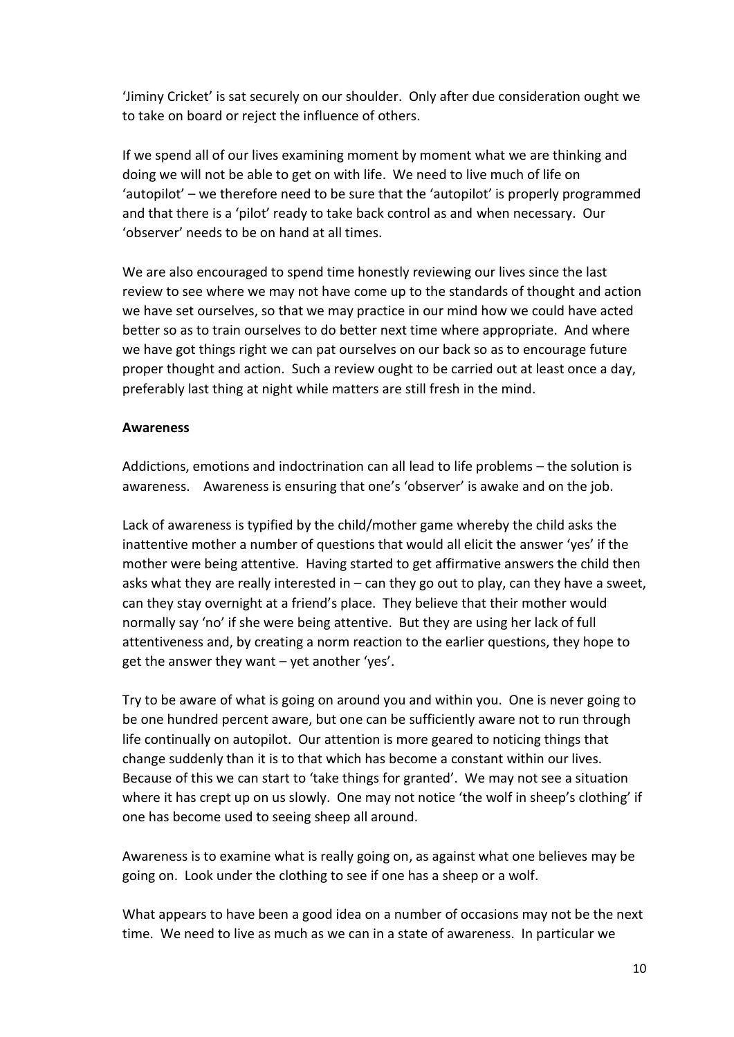'Jiminy Cricket' is sat securely on our shoulder. Only after due consideration ought we to take on board or reject the influence of others.

If we spend all of our lives examining moment by moment what we are thinking and doing we will not be able to get on with life. We need to live much of life on 'autopilot' – we therefore need to be sure that the 'autopilot' is properly programmed and that there is a 'pilot' ready to take back control as and when necessary. Our 'observer' needs to be on hand at all times.

We are also encouraged to spend time honestly reviewing our lives since the last review to see where we may not have come up to the standards of thought and action we have set ourselves, so that we may practice in our mind how we could have acted better so as to train ourselves to do better next time where appropriate. And where we have got things right we can pat ourselves on our back so as to encourage future proper thought and action. Such a review ought to be carried out at least once a day, preferably last thing at night while matters are still fresh in the mind.

#### **Awareness**

Addictions, emotions and indoctrination can all lead to life problems – the solution is awareness. Awareness is ensuring that one's 'observer' is awake and on the job.

Lack of awareness is typified by the child/mother game whereby the child asks the inattentive mother a number of questions that would all elicit the answer 'yes' if the mother were being attentive. Having started to get affirmative answers the child then asks what they are really interested in  $-$  can they go out to play, can they have a sweet, can they stay overnight at a friend's place. They believe that their mother would normally say 'no' if she were being attentive. But they are using her lack of full attentiveness and, by creating a norm reaction to the earlier questions, they hope to get the answer they want – yet another 'yes'.

Try to be aware of what is going on around you and within you. One is never going to be one hundred percent aware, but one can be sufficiently aware not to run through life continually on autopilot. Our attention is more geared to noticing things that change suddenly than it is to that which has become a constant within our lives. Because of this we can start to 'take things for granted'. We may not see a situation where it has crept up on us slowly. One may not notice 'the wolf in sheep's clothing' if one has become used to seeing sheep all around.

Awareness is to examine what is really going on, as against what one believes may be going on. Look under the clothing to see if one has a sheep or a wolf.

What appears to have been a good idea on a number of occasions may not be the next time. We need to live as much as we can in a state of awareness. In particular we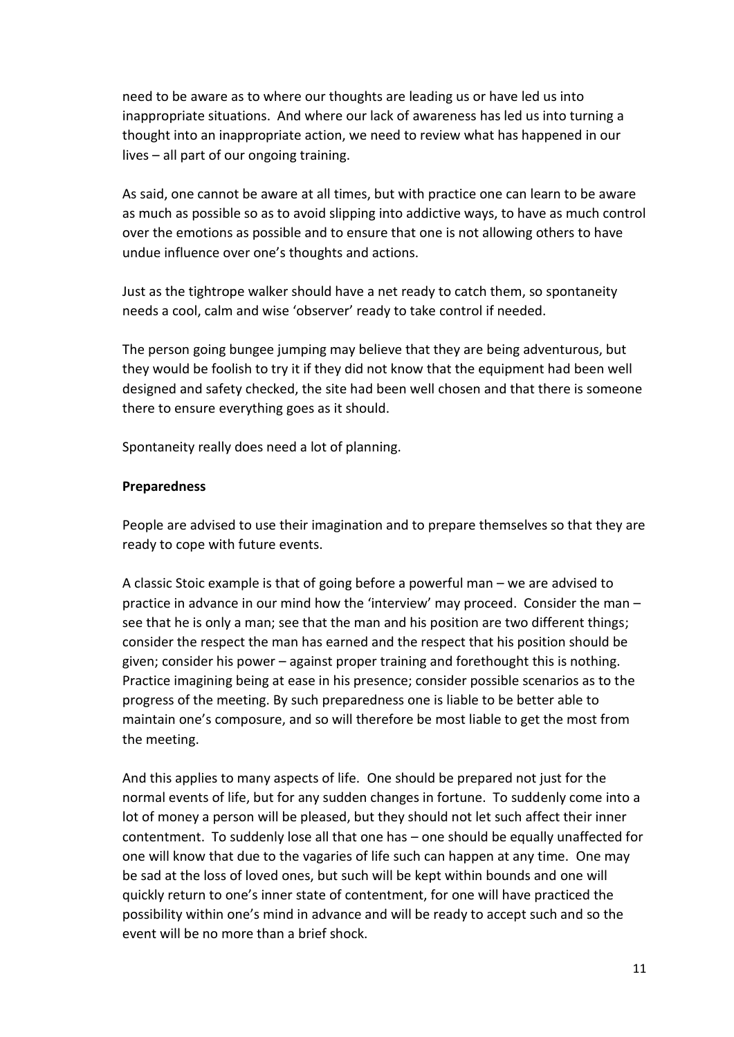need to be aware as to where our thoughts are leading us or have led us into inappropriate situations. And where our lack of awareness has led us into turning a thought into an inappropriate action, we need to review what has happened in our lives – all part of our ongoing training.

As said, one cannot be aware at all times, but with practice one can learn to be aware as much as possible so as to avoid slipping into addictive ways, to have as much control over the emotions as possible and to ensure that one is not allowing others to have undue influence over one's thoughts and actions.

Just as the tightrope walker should have a net ready to catch them, so spontaneity needs a cool, calm and wise 'observer' ready to take control if needed.

The person going bungee jumping may believe that they are being adventurous, but they would be foolish to try it if they did not know that the equipment had been well designed and safety checked, the site had been well chosen and that there is someone there to ensure everything goes as it should.

Spontaneity really does need a lot of planning.

### **Preparedness**

People are advised to use their imagination and to prepare themselves so that they are ready to cope with future events.

A classic Stoic example is that of going before a powerful man – we are advised to practice in advance in our mind how the 'interview' may proceed. Consider the man – see that he is only a man; see that the man and his position are two different things; consider the respect the man has earned and the respect that his position should be given; consider his power – against proper training and forethought this is nothing. Practice imagining being at ease in his presence; consider possible scenarios as to the progress of the meeting. By such preparedness one is liable to be better able to maintain one's composure, and so will therefore be most liable to get the most from the meeting.

And this applies to many aspects of life. One should be prepared not just for the normal events of life, but for any sudden changes in fortune. To suddenly come into a lot of money a person will be pleased, but they should not let such affect their inner contentment. To suddenly lose all that one has – one should be equally unaffected for one will know that due to the vagaries of life such can happen at any time. One may be sad at the loss of loved ones, but such will be kept within bounds and one will quickly return to one's inner state of contentment, for one will have practiced the possibility within one's mind in advance and will be ready to accept such and so the event will be no more than a brief shock.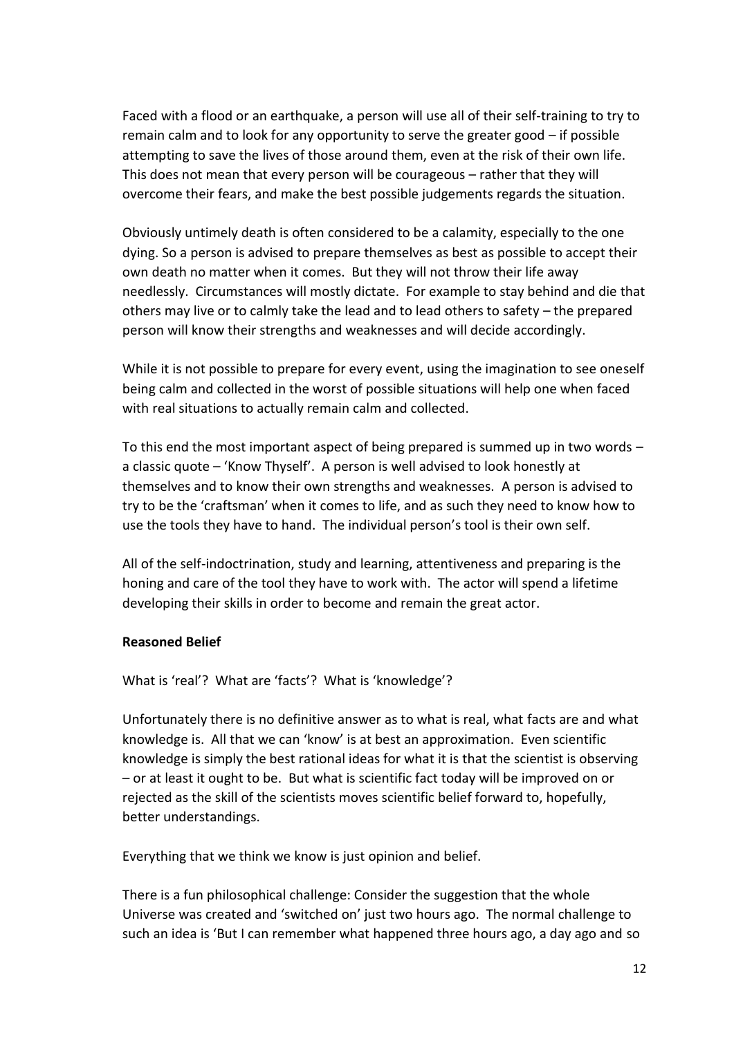Faced with a flood or an earthquake, a person will use all of their self-training to try to remain calm and to look for any opportunity to serve the greater good – if possible attempting to save the lives of those around them, even at the risk of their own life. This does not mean that every person will be courageous – rather that they will overcome their fears, and make the best possible judgements regards the situation.

Obviously untimely death is often considered to be a calamity, especially to the one dying. So a person is advised to prepare themselves as best as possible to accept their own death no matter when it comes. But they will not throw their life away needlessly. Circumstances will mostly dictate. For example to stay behind and die that others may live or to calmly take the lead and to lead others to safety – the prepared person will know their strengths and weaknesses and will decide accordingly.

While it is not possible to prepare for every event, using the imagination to see oneself being calm and collected in the worst of possible situations will help one when faced with real situations to actually remain calm and collected.

To this end the most important aspect of being prepared is summed up in two words – a classic quote – 'Know Thyself'. A person is well advised to look honestly at themselves and to know their own strengths and weaknesses. A person is advised to try to be the 'craftsman' when it comes to life, and as such they need to know how to use the tools they have to hand. The individual person's tool is their own self.

All of the self-indoctrination, study and learning, attentiveness and preparing is the honing and care of the tool they have to work with. The actor will spend a lifetime developing their skills in order to become and remain the great actor.

# **Reasoned Belief**

What is 'real'? What are 'facts'? What is 'knowledge'?

Unfortunately there is no definitive answer as to what is real, what facts are and what knowledge is. All that we can 'know' is at best an approximation. Even scientific knowledge is simply the best rational ideas for what it is that the scientist is observing – or at least it ought to be. But what is scientific fact today will be improved on or rejected as the skill of the scientists moves scientific belief forward to, hopefully, better understandings.

Everything that we think we know is just opinion and belief.

There is a fun philosophical challenge: Consider the suggestion that the whole Universe was created and 'switched on' just two hours ago. The normal challenge to such an idea is 'But I can remember what happened three hours ago, a day ago and so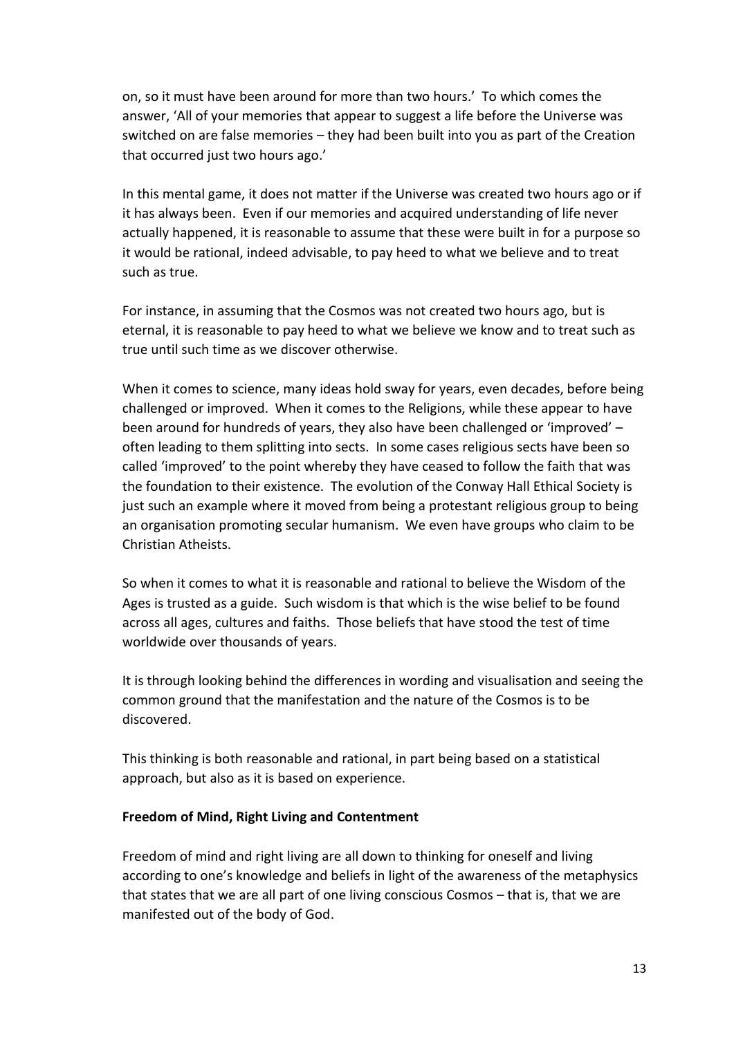on, so it must have been around for more than two hours.' To which comes the answer, 'All of your memories that appear to suggest a life before the Universe was switched on are false memories – they had been built into you as part of the Creation that occurred just two hours ago.'

In this mental game, it does not matter if the Universe was created two hours ago or if it has always been. Even if our memories and acquired understanding of life never actually happened, it is reasonable to assume that these were built in for a purpose so it would be rational, indeed advisable, to pay heed to what we believe and to treat such as true.

For instance, in assuming that the Cosmos was not created two hours ago, but is eternal, it is reasonable to pay heed to what we believe we know and to treat such as true until such time as we discover otherwise.

When it comes to science, many ideas hold sway for years, even decades, before being challenged or improved. When it comes to the Religions, while these appear to have been around for hundreds of years, they also have been challenged or 'improved' – often leading to them splitting into sects. In some cases religious sects have been so called 'improved' to the point whereby they have ceased to follow the faith that was the foundation to their existence. The evolution of the Conway Hall Ethical Society is just such an example where it moved from being a protestant religious group to being an organisation promoting secular humanism. We even have groups who claim to be Christian Atheists.

So when it comes to what it is reasonable and rational to believe the Wisdom of the Ages is trusted as a guide. Such wisdom is that which is the wise belief to be found across all ages, cultures and faiths. Those beliefs that have stood the test of time worldwide over thousands of years.

It is through looking behind the differences in wording and visualisation and seeing the common ground that the manifestation and the nature of the Cosmos is to be discovered.

This thinking is both reasonable and rational, in part being based on a statistical approach, but also as it is based on experience.

# **Freedom of Mind, Right Living and Contentment**

Freedom of mind and right living are all down to thinking for oneself and living according to one's knowledge and beliefs in light of the awareness of the metaphysics that states that we are all part of one living conscious Cosmos – that is, that we are manifested out of the body of God.